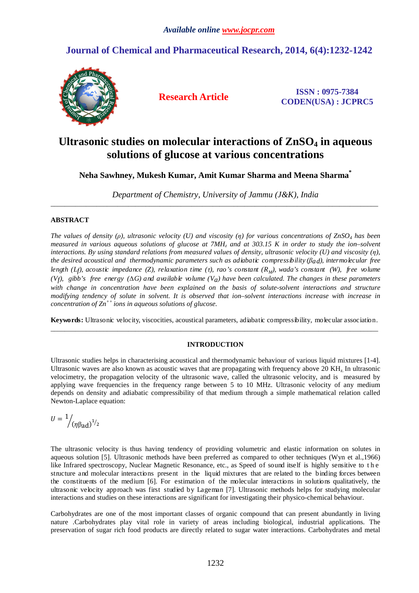# **Journal of Chemical and Pharmaceutical Research, 2014, 6(4):1232-1242**



**Research Article ISSN : 0975-7384 CODEN(USA) : JCPRC5**

# **Ultrasonic studies on molecular interactions of ZnSO4 in aqueous solutions of glucose at various concentrations**

# **Neha Sawhney, Mukesh Kumar, Amit Kumar Sharma and Meena Sharma\***

*Department of Chemistry, University of Jammu (J&K), India*  \_\_\_\_\_\_\_\_\_\_\_\_\_\_\_\_\_\_\_\_\_\_\_\_\_\_\_\_\_\_\_\_\_\_\_\_\_\_\_\_\_\_\_\_\_\_\_\_\_\_\_\_\_\_\_\_\_\_\_\_\_\_\_\_\_\_\_\_\_\_\_\_\_\_\_\_\_\_\_\_\_\_\_\_\_\_\_\_\_\_\_\_\_

# **ABSTRACT**

*The values of density (ρ), ultrasonic velocity (U) and viscosity (η) for various concentrations of ZnSO4 has been*  measured in various aqueous solutions of glucose at  $7MHz$  and at 303.15 K in order to study the ion–solvent *interactions. By using standard relations from measured values of density, ultrasonic velocity (U) and viscosity (η), the desired acoustical and thermodynamic parameters such as adiabatic compressibility (βad), intermolecular free length (Lf), acoustic impedance (Z), relaxation time (τ), rao's constant (R<sub>M</sub>), wada's constant (W), free volume (Vf), gibb's free energy (∆G) and available volume (Va) have been calculated. The changes in these parameters*  with change in concentration have been explained on the basis of solute-solvent interactions and structure *modifying tendency of solute in solvent. It is observed that ion–solvent interactions increase with increase in concentration of Zn++ ions in aqueous solutions of glucose.* 

**Keywords:** Ultrasonic velocity, viscocities, acoustical parameters, adiabatic compressibility, molecular association. \_\_\_\_\_\_\_\_\_\_\_\_\_\_\_\_\_\_\_\_\_\_\_\_\_\_\_\_\_\_\_\_\_\_\_\_\_\_\_\_\_\_\_\_\_\_\_\_\_\_\_\_\_\_\_\_\_\_\_\_\_\_\_\_\_\_\_\_\_\_\_\_\_\_\_\_\_\_\_\_\_\_\_\_\_\_\_\_\_\_\_\_\_

# **INTRODUCTION**

Ultrasonic studies helps in characterising acoustical and thermodynamic behaviour of various liquid mixtures [1-4]. Ultrasonic waves are also known as acoustic waves that are propagating with frequency above 20 KH<sub>z</sub>. In ultrasonic velocimetry, the propagation velocity of the ultrasonic wave, called the ultrasonic velocity, and is measured by applying wave frequencies in the frequency range between 5 to 10 MHz. Ultrasonic velocity of any medium depends on density and adiabatic compressibility of that medium through a simple mathematical relation called Newton-Laplace equation:

$$
U=\frac{1}{\left/(\eta\beta_{\text{ad}}\right)^{1/2}}
$$

The ultrasonic velocity is thus having tendency of providing volumetric and elastic information on solutes in aqueous solution [5]. Ultrasonic methods have been preferred as compared to other techniques (Wyn et al.,1966) like Infrared spectroscopy, Nuclear Magnetic Resonance, etc., as Speed of sound itself is highly sensitive to t h e structure and molecular interactions present in the liquid mixtures that are related to the binding forces between the constituents of the medium [6]. For estimation of the molecular interactions in solutions qualitatively, the ultrasonic velocity approach was first studied by Lageman [7]. Ultrasonic methods helps for studying molecular interactions and studies on these interactions are significant for investigating their physico-chemical behaviour.

Carbohydrates are one of the most important classes of organic compound that can present abundantly in living nature .Carbohydrates play vital role in variety of areas including biological, industrial applications. The preservation of sugar rich food products are directly related to sugar water interactions. Carbohydrates and metal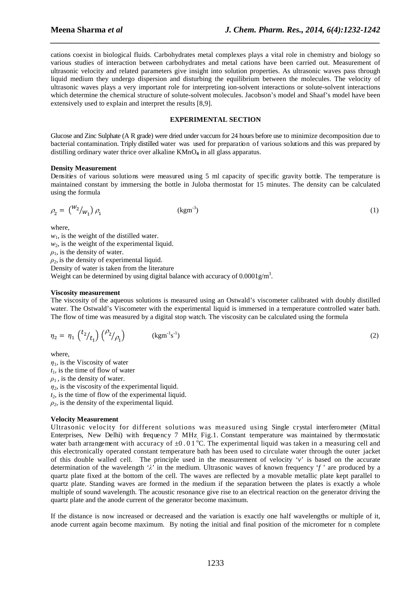cations coexist in biological fluids. Carbohydrates metal complexes plays a vital role in chemistry and biology so various studies of interaction between carbohydrates and metal cations have been carried out. Measurement of ultrasonic velocity and related parameters give insight into solution properties. As ultrasonic waves pass through liquid medium they undergo dispersion and disturbing the equilibrium between the molecules. The velocity of ultrasonic waves plays a very important role for interpreting ion-solvent interactions or solute-solvent interactions which determine the chemical structure of solute-solvent molecules. Jacobson's model and Shaaf's model have been extensively used to explain and interpret the results [8,9].

*\_\_\_\_\_\_\_\_\_\_\_\_\_\_\_\_\_\_\_\_\_\_\_\_\_\_\_\_\_\_\_\_\_\_\_\_\_\_\_\_\_\_\_\_\_\_\_\_\_\_\_\_\_\_\_\_\_\_\_\_\_\_\_\_\_\_\_\_\_\_\_\_\_\_\_\_\_\_*

# **EXPERIMENTAL SECTION**

Glucose and Zinc Sulphate (A R grade) were dried under vaccum for 24 hours before use to minimize decomposition due to bacterial contamination. Triply distilled water was used for preparation of various solutions and this was prepared by distilling ordinary water thrice over alkaline KMnO<sub>4</sub> in all glass apparatus.

# **Density Measurement**

Densities of various solutions were measured using 5 ml capacity of specific gravity bottle. The temperature is maintained constant by immersing the bottle in Juloba thermostat for 15 minutes. The density can be calculated using the formula

$$
\rho_2 = \binom{W_2}{W_1} \rho_1 \tag{1}
$$

where,

 $w_1$ , is the weight of the distilled water.  $w<sub>2</sub>$ , is the weight of the experimental liquid.  $\rho_1$ , is the density of water.  $\rho_2$ , is the density of experimental liquid. Density of water is taken from the literature

Weight can be determined by using digital balance with accuracy of  $0.0001$  g/m<sup>3</sup>.

# **Viscosity measurement**

The viscosity of the aqueous solutions is measured using an Ostwald's viscometer calibrated with doubly distilled water. The Ostwald's Viscometer with the experimental liquid is immersed in a temperature controlled water bath. The flow of time was measured by a digital stop watch. The viscosity can be calculated using the formula

$$
\eta_2 = \eta_1 \binom{t_2}{t_1} \binom{\rho_2}{\rho_1} \qquad \text{(kgm}^{-1} \text{s}^{-1}) \tag{2}
$$

where,

 $\eta_1$ , is the Viscosity of water  $t<sub>1</sub>$ , is the time of flow of water  $\rho_1$ , is the density of water.  $\eta_2$ , is the viscosity of the experimental liquid.  $t_2$ , is the time of flow of the experimental liquid.

 $\rho_2$ , is the density of the experimental liquid.

# **Velocity Measurement**

Ultrasonic velocity for different solutions was measured using Single crystal interferometer (Mittal Enterprises, New Delhi) with frequency 7 MHz, Fig.1. Constant temperature was maintained by thermostatic water bath arrangement with accuracy of  $\pm 0.01^{\circ}$ C. The experimental liquid was taken in a measuring cell and this electronically operated constant temperature bath has been used to circulate water through the outer jacket of this double walled cell. The principle used in the measurement of velocity '*v*' is based on the accurate determination of the wavelength '*λ*' in the medium. Ultrasonic waves of known frequency '*f* ' are produced by a quartz plate fixed at the bottom of the cell. The waves are reflected by a movable metallic plate kept parallel to quartz plate. Standing waves are formed in the medium if the separation between the plates is exactly a whole multiple of sound wavelength. The acoustic resonance give rise to an electrical reaction on the generator driving the quartz plate and the anode current of the generator become maximum.

If the distance is now increased or decreased and the variation is exactly one half wavelengths or multiple of it, anode current again become maximum. By noting the initial and final position of the micrometer for n complete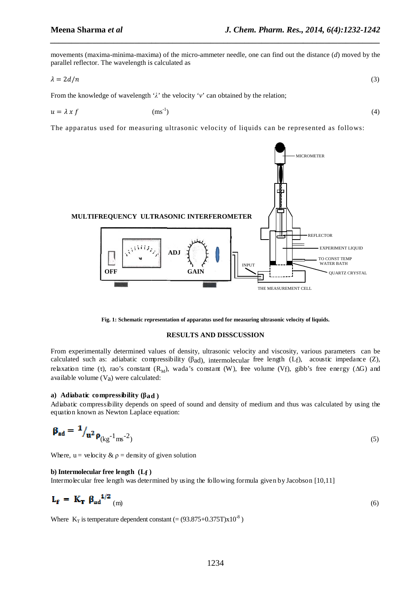$(4)$ 

movements (maxima-minima-maxima) of the micro-ammeter needle, one can find out the distance (d) moved by the parallel reflector. The wavelength is calculated as

*\_\_\_\_\_\_\_\_\_\_\_\_\_\_\_\_\_\_\_\_\_\_\_\_\_\_\_\_\_\_\_\_\_\_\_\_\_\_\_\_\_\_\_\_\_\_\_\_\_\_\_\_\_\_\_\_\_\_\_\_\_\_\_\_\_\_\_\_\_\_\_\_\_\_\_\_\_\_*

$$
\lambda = 2d/n \tag{3}
$$

From the knowledge of wavelength ' *λ*' the velocity '*v*' can obtained by the relation;

$$
u = \lambda x f \qquad (ms^{-1})
$$

The apparatus used for measuring ultrasonic velocity of liquids can be represented as follows:



**Fig. 1: Schematic representation of apparatus used for measuring ultrasonic velocity of liquids.**

## **RESULTS AND DISSCUSSION**

From experimentally determined values of density, ultrasonic velocity and viscosity, various parameters can be calculated such as: adiabatic compressibility (βad), intermolecular free length (Lf), acoustic impedance (Z), relaxation time (τ), rao's constant (R<sub>M</sub>), wada's constant (W), free volume (Vf), gibb's free energy (ΔG) and available volume  $(V_a)$  were calculated:

# **a**) **Adiabatic compressibility (βad** )

Adiabatic compressibility depends on speed of sound and density of medium and thus was calculated by using the

equation known as Newton Laplace equation:  
\n
$$
\mathbf{\beta}_{ad} = \mathbf{1}_{\mathbf{\mu}^2 \mathbf{\rho}_{(kg^{-1} \text{ ms}^{-2})}}
$$
\n(5)

Where,  $u =$  velocity  $\& \rho =$  density of given solution

#### **b) Intermolecular free length (Lf )**

Intermolecular free length was determined by using the following formula given by Jacobson [10,11]

$$
\mathbf{L}_{\mathbf{f}} = \mathbf{K}_{\mathbf{T}} \boldsymbol{\beta}_{ad}^{\mathbf{1}/2} \text{ (m)} \tag{6}
$$

Where  $K_T$  is temperature dependent constant  $(=(93.875+0.375T)x10^{-8})$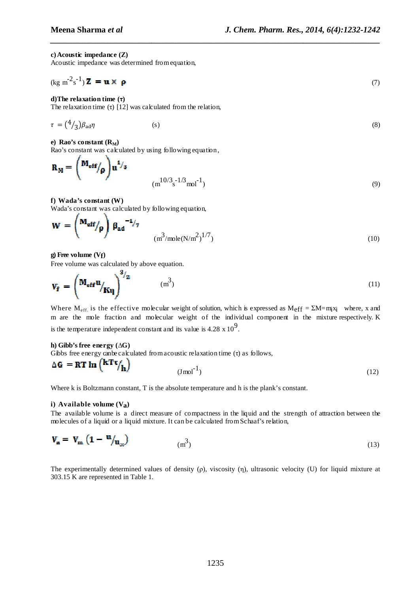# **c)Acoustic impedance (Z)**

Acoustic impedance was determined d from equation,

$$
(\text{kg m}^2 \text{s}^{-1}) \mathbf{Z} = \mathbf{u} \times \mathbf{\rho}
$$
 (7)

*\_\_\_\_\_\_\_\_\_\_\_\_\_\_\_\_\_\_\_\_\_\_\_\_\_\_\_\_\_\_\_\_\_\_\_\_\_\_\_\_\_\_\_\_\_\_\_\_\_\_\_\_\_\_\_\_\_\_\_\_\_\_\_\_\_\_\_\_\_\_\_\_\_\_\_\_\_\_*

# **d)The relaxation time (τ)**

The relaxation time  $(τ)$  [12] was calculated from the relation,

$$
\tau = \left(\frac{4}{3}\right)\beta_{\text{ad}}\eta \tag{8}
$$

**e**) Rao's constant  $(R_M)$ 

Rao's constant was calculated by using following equation,

$$
\mathbf{R}_{\mathbf{M}} = \begin{pmatrix} \mathbf{M}_{\mathbf{eff}} / \mathbf{p} \end{pmatrix} \mathbf{u}^{1/3} \qquad \qquad (\mathbf{m}^{10/3} \mathbf{s}^{-1/3} \mathbf{m} \mathbf{d}^{-1}) \qquad (9)
$$

# **f) Wada's constant (W)**

Wada's constant was calculated by following equation,

$$
\mathbf{W} = \begin{pmatrix} \mathbf{M_{eff}} \\ \rho \end{pmatrix} \beta_{ad}^{-1/7} \qquad (m^3/mole(N/m^2)^{1/7})
$$
 (10)

#### **g) Free volume (Vf)**

Free volume was calculated by above equation.  $\mathbf{Q}$  .

$$
\mathbf{V}_{\mathbf{f}} = \begin{pmatrix} \mathbf{M}_{\mathbf{eff}} \mathbf{u} \\ \mathbf{K} \mathbf{u} \end{pmatrix}^{\mathcal{V}_{2}} \qquad (\mathbf{m}^{3})
$$
 (11)

Where  $M_{\text{eff}}$  is the effective molecular weight of solution, which is expressed as  $M_{\text{eff}} = \Sigma M = m_i x_i$  where, x and m are the mole fraction and molecular weight of the individual component in the mixture respectively. K is the temperature independent constant and its value is 4.28  $\times 10^9$ .

# **h) Gibb's free energy (∆G)** Gibbs free energy can be calculated from a coustic relaxation time  $(τ)$  as follows,  $\Delta G = RT \ln \left(\frac{kT\tau}{h}\right)$

$$
(\text{J} \,\text{mol}^{-1})\tag{12}
$$

Where k is Boltzmann constant, T is the absolute temperature and h is the plank's constant.

# **i) Available volume (Va)**

The available volume is a direct measure of compactness in the liquid and the strength of attraction between the molecules of a liquid or a liquid mixture. It can be calculated from Schaaf's relation,

$$
\mathbf{V}_{\mathbf{a}} = \mathbf{V}_{\mathbf{m}} \left( \mathbf{1} - \mathbf{u} / \mathbf{u}_{\infty} \right) \tag{13}
$$

The experimentally determined values of density  $(\rho)$ , viscosity  $(\eta)$ , ultrasonic velocity  $(U)$  for liquid mixture at 303.15 K are represented in Table 1.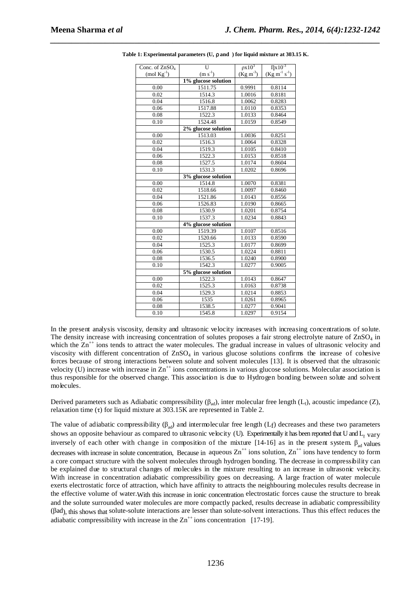| Conc. of ZnSO <sub>4</sub> | $\overline{U}$      | $\rho x 10^3$       | $\eta$ x10 <sup>-3</sup> |  |
|----------------------------|---------------------|---------------------|--------------------------|--|
| $(mod \, Kg^{-1})$         | $(m s-1)$           | $(Kg m^{-3})$       | $(Kg m^{-1} s^{-1})$     |  |
|                            | 1% glucose solution |                     |                          |  |
| 0.00                       | 1511.75             | 0.9991              | 0.8114                   |  |
| 0.02                       | 1514.3              | 1.0016              | 0.8181                   |  |
| 0.04                       | 1516.8              | 1.0062              | 0.8283                   |  |
| 0.06                       | 1517.88             | 1.0110              | 0.8353                   |  |
| 0.08                       | 1522.3              | 1.0133              | 0.8464                   |  |
| 0.10                       | 1524.48             | 1.0159              | 0.8549                   |  |
|                            | 2% glucose solution |                     |                          |  |
| 0.00                       | 1513.03             | 1.0036              | 0.8251                   |  |
| 0.02                       | 1516.3              | 1.0064              | 0.8328                   |  |
| 0.04                       | 1519.3              | 1.0105              | 0.8410                   |  |
| 0.06                       | 1522.3              | 1.0153              | 0.8518                   |  |
| 0.08                       | 1527.5              | 1.0174              | 0.8604                   |  |
| 0.10                       | 1531.3              | 1.0202              | 0.8696                   |  |
|                            | 3% glucose solution |                     |                          |  |
| 0.00                       | 1514.8              | 1.0070              | $0.\overline{8381}$      |  |
| 0.02                       | 1518.66             | 1.0097              | 0.8460                   |  |
| 0.04                       | 1521.86             | 1.0143              | 0.8556                   |  |
| 0.06                       | 1526.83             | 1.0190              | 0.8665                   |  |
| 0.08                       | 1530.9              | 1.0201              | 0.8754                   |  |
| 0.10                       | 1537.3              | 1.0234              | 0.8843                   |  |
|                            | 4% glucose solution |                     |                          |  |
| 0.00                       | 1519.39             | 1.0107              | 0.8516                   |  |
| 0.02                       | 1520.66             | 1.0133              | 0.8590                   |  |
| 0.04                       | 1525.3              | 1.0177              | 0.8699                   |  |
| 0.06                       | 1530.5              | 1.0224              | 0.8811                   |  |
| 0.08                       | 1536.5              | 1.0240              | 0.8900                   |  |
| 0.10                       | 1542.3              | 1.0277              | 0.9005                   |  |
|                            | 5% glucose solution |                     |                          |  |
| 0.00                       | 1522.3              | 1.0143              | 0.8647                   |  |
| 0.02                       | 1525.3              | 1.0163              | 0.8738                   |  |
| 0.04                       | 1529.3              | 1.0214              | 0.8853                   |  |
| 0.06                       | 1535                | $1.\overline{0261}$ | 0.8965                   |  |
| 0.08                       | 1538.5              | 1.0277              | 0.9041                   |  |
| 0.10                       | 1545.8              | 1.0297              | 0.9154                   |  |

**Table 1: Experimental parameters (U,** ρ **and ) for liquid mixture at 303.15 K.** 

*\_\_\_\_\_\_\_\_\_\_\_\_\_\_\_\_\_\_\_\_\_\_\_\_\_\_\_\_\_\_\_\_\_\_\_\_\_\_\_\_\_\_\_\_\_\_\_\_\_\_\_\_\_\_\_\_\_\_\_\_\_\_\_\_\_\_\_\_\_\_\_\_\_\_\_\_\_\_*

In the present analysis viscosity, density and ultrasonic velocity increases with increasing concentrations of solute. The density increase with increasing concentration of solutes proposes a fair strong electrolyte nature of  $\text{ZnSO}_4$  in which the  $Zn^{++}$  ions tends to attract the water molecules. The gradual increase in values of ultrasonic velocity and viscosity with different concentration of ZnSO4 in various glucose solutions confirms the increase of cohesive forces because of strong interactions between solute and solvent molecules [13]. It is observed that the ultrasonic velocity (U) increase with increase in  $\text{Zn}^{++}$  ions concentrations in various glucose solutions. Molecular association is thus responsible for the observed change. This association is due to Hydrogen bonding between solute and solvent molecules.

Derived parameters such as Adiabatic compressibility ( $\beta_{ad}$ ), inter molecular free length ( $L_f$ ), acoustic impedance (Z), relaxation time (τ) for liquid mixture at 303.15K are represented in Table 2.

The value of adiabatic compressibility  $(\beta_{ad})$  and intermolecular free length  $(L_f)$  decreases and these two parameters shows an opposite behaviour as compared to ultrasonic velocity (U). Experimentally it has been reported that U and  $L_f$  vary inversely of each other with change in composition of the mixture [14-16] as in the present system.  $\beta_{ad}$  values decreases with increase in solute concentration, Because in aqueous  $\text{Zn}^{++}$  ions solution,  $\text{Zn}^{++}$  ions have tendency to form a core compact structure with the solvent molecules through hydrogen bonding. The decrease in compressibility can be explained due to structural changes of molecules in the mixture resulting to an increase in ultrasonic velocity. With increase in concentration adiabatic compressibility goes on decreasing. A large fraction of water molecule exerts electrostatic force of attraction, which have affinity to attracts the neighbouring molecules results decrease in the effective volume of water.With this increase in ionic concentration electrostatic forces cause the structure to break and the solute surrounded water molecules are more compactly packed, results decrease in adiabatic compressibility (βad), this shows that solute-solute interactions are lesser than solute-solvent interactions. Thus this effect reduces the adiabatic compressibility with increase in the  $\text{Zn}^{++}$  ions concentration [17-19].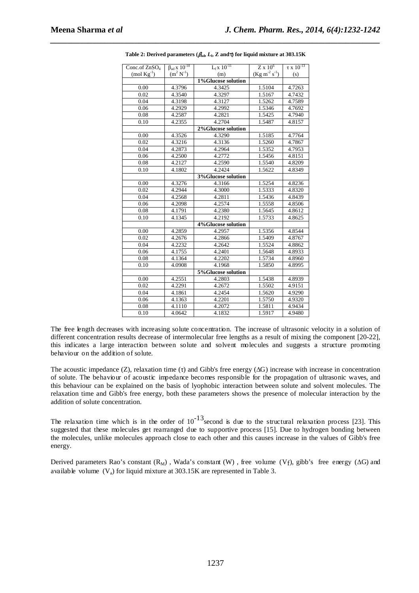| Conc.of ZnSO <sub>4</sub> | $\beta_{ad} x 10^{-10}$ | $L_f x 10^{-11}$    | $Z \times 10^6$      | $\tau$ x $10^{-13}$ |  |  |  |
|---------------------------|-------------------------|---------------------|----------------------|---------------------|--|--|--|
| $(mod Kg^{-1})$           | $(m^2 N^1)$             | (m)                 | $(Kg m^{-2} s^{-1})$ | (s)                 |  |  |  |
|                           |                         | 1%Glucose solution  |                      |                     |  |  |  |
| 0.00                      | 4.3796                  | 4.3425              | 1.5104               | 4.7263              |  |  |  |
| 0.02                      | 4.3540                  | 4.3297              | 1.5167               | 4.7432              |  |  |  |
| 0.04                      | 4.3198                  | 4.3127              | 1.5262               | 4.7589              |  |  |  |
| 0.06                      | 4.2929                  | 4.2992              | 1.5346               | 4.7692              |  |  |  |
| 0.08                      | 4.2587                  | 4.2821              | 1.5425               | 4.7940              |  |  |  |
| 0.10                      | 4.2355                  | 4.2704              | 1.5487               | 4.8157              |  |  |  |
|                           | 2%Glucose solution      |                     |                      |                     |  |  |  |
| 0.00                      | 4.3526                  | 4.3290              | 1.5185               | 4.7764              |  |  |  |
| 0.02                      | 4.3216                  | 4.3136              | 1.5260               | 4.7867              |  |  |  |
| 0.04                      | 4.2873                  | 4.2964              | 1.5352               | 4.7953              |  |  |  |
| 0.06                      | 4.2500                  | 4.2772              | 1.5456               | 4.8151              |  |  |  |
| 0.08                      | 4.2127                  | 4.2590              | 1.5540               | 4.8209              |  |  |  |
| 0.10                      | 4.1802                  | 4.2424              | 1.5622               | 4.8349              |  |  |  |
|                           |                         | 3%Glucose solution  |                      |                     |  |  |  |
| 0.00                      | 4.3276                  | 4.3166              | 1.5254               | 4.8236              |  |  |  |
| 0.02                      | 4.2944                  | 4.3000              | 1.5333               | 4.8320              |  |  |  |
| 0.04                      | 4.2568                  | $4.\overline{2811}$ | 1.5436               | 4.8439              |  |  |  |
| 0.06                      | 4.2098                  | 4.2574              | 1.5558               | 4.8506              |  |  |  |
| 0.08                      | 4.1791                  | 4.2380              | 1.5645               | 4.8612              |  |  |  |
| 0.10                      | 4.1345                  | 4.2192              | 1.5733               | 4.8625              |  |  |  |
|                           |                         | 4%Glucose solution  |                      |                     |  |  |  |
| 0.00                      | 4.2859                  | 4.2957              | 1.5356               | 4.8544              |  |  |  |
| 0.02                      | 4.2676                  | 4.2866              | 1.5409               | 4.8767              |  |  |  |
| 0.04                      | 4.2232                  | 4.2642              | 1.5524               | 4.8862              |  |  |  |
| 0.06                      | 4.1755                  | 4.2401              | 1.5648               | 4.8933              |  |  |  |
| 0.08                      | 4.1364                  | 4.2202              | 1.5734               | 4.8960              |  |  |  |
| 0.10                      | 4.0908                  | 4.1968              | 1.5850               | 4.8995              |  |  |  |
|                           |                         | 5%Glucose solution  |                      |                     |  |  |  |
| 0.00                      | 4.2551                  | 4.2803              | 1.5438               | 4.8939              |  |  |  |
| 0.02                      | 4.2291                  | 4.2672              | 1.5502               | 4.9151              |  |  |  |
| 0.04                      | 4.1861                  | 4.2454              | 1.5620               | 4.9290              |  |  |  |
| 0.06                      | 4.1363                  | 4.2201              | 1.5750               | 4.9320              |  |  |  |
| 0.08                      | 4.1110                  | 4.2072              | 1.5811               | 4.9434              |  |  |  |
| 0.10                      | 4.0642                  | 4.1832              | 1.5917               | 4.9480              |  |  |  |

*\_\_\_\_\_\_\_\_\_\_\_\_\_\_\_\_\_\_\_\_\_\_\_\_\_\_\_\_\_\_\_\_\_\_\_\_\_\_\_\_\_\_\_\_\_\_\_\_\_\_\_\_\_\_\_\_\_\_\_\_\_\_\_\_\_\_\_\_\_\_\_\_\_\_\_\_\_\_* **Table 2: Derived parameters (**β**ad,** *L***f, Z and**τ**) for liquid mixture at 303.15K** 

The free length decreases with increasing solute concentration. The increase of ultrasonic velocity in a solution of different concentration results decrease of intermolecular free lengths as a result of mixing the component [20-22], this indicates a large interaction between solute and solvent molecules and suggests a structure promoting behaviour on the addition of solute.

The acoustic impedance  $(Z)$ , relaxation time  $(τ)$  and Gibb's free energy  $(\Delta G)$  increase with increase in concentration of solute. The behaviour of acoustic impedance becomes responsible for the propagation of ultrasonic waves, and this behaviour can be explained on the basis of lyophobic interaction between solute and solvent molecules. The relaxation time and Gibb's free energy, both these parameters shows the presence of molecular interaction by the addition of solute concentration.

The relaxation time which is in the order of  $10^{-13}$  second is due to the structural relaxation process [23]. This suggested that these molecules get rearranged due to supportive process [15]. Due to hydrogen bonding between the molecules, unlike molecules approach close to each other and this causes increase in the values of Gibb's free energy.

Derived parameters Rao's constant  $(R_M)$ , Wada's constant  $(W)$ , free volume  $(Vf)$ , gibb's free energy ( $\Delta G$ ) and available volume  $(V_a)$  for liquid mixture at 303.15K are represented in Table 3.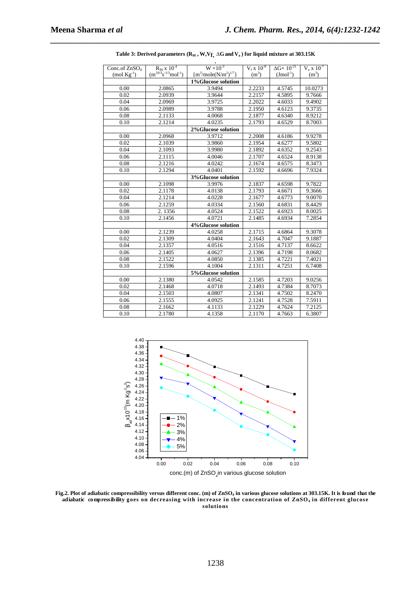| Conc.of ZnSO <sub>4</sub> | $R_M$ x $10^{-4}$            | $\frac{1}{\text{W} \times 10^{-3}}$ | $V_f$ x $10^{-8}$ | $\Delta G \times 10^{-21}$ | $V_a$ x $10^{-7}$ |
|---------------------------|------------------------------|-------------------------------------|-------------------|----------------------------|-------------------|
| $(mod \, Kg^{-1})$        | $(m^{10/3}s^{-1/3}mol^{-1})$ | ${m^3/mole(N/m^2)^{1/7}}$           | $(m^3)$           | $( J\text{mol}^{-1})$      | (m <sup>3</sup> ) |
|                           |                              | 1%Glucose solution                  |                   |                            |                   |
| 0.00                      | 2.0865                       | 3.9494                              | 2.2233            | 4.5745                     | 10.0273           |
| 0.02                      | 2.0939                       | 3.9644                              | 2.2157            | 4.5895                     | 9.7666            |
| 0.04                      | 2.0969                       | 3.9725                              | 2.2022            | 4.6033                     | 9.4902            |
| 0.06                      | 2.0989                       | 3.9788                              | 2.1950            | 4.6123                     | 9.3735            |
| 0.08                      | 2.1133                       | 4.0068                              | 2.1877            | 4.6340                     | 8.9212            |
| 0.10                      | 2.1214                       | 4.0235                              | 2.1793            | 4.6529                     | 8.7003            |
|                           |                              | 2%Glucose solution                  |                   |                            |                   |
| 0.00                      | 2.0968                       | 3.9712                              | 2.2008            | 4.6186                     | 9.9278            |
| 0.02                      | 2.1039                       | 3.9860                              | 2.1954            | 4.6277                     | 9.5802            |
| 0.04                      | 2.1093                       | 3.9980                              | 2.1892            | 4.6352                     | 9.2543            |
| 0.06                      | 2.1115                       | 4.0046                              | 2.1707            | 4.6524                     | 8.9138            |
| 0.08                      | 2.1216                       | 4.0242                              | 2.1674            | 4.6575                     | 8.3473            |
| 0.10                      | 2.1294                       | 4.0401                              | 2.1592            | 4.6696                     | 7.9324            |
|                           |                              | 3% Glucose solution                 |                   |                            |                   |
| 0.00                      | 2.1098                       | 3.9976                              | 2.1837            | 4.6598                     | 9.7822            |
| 0.02                      | 2.1178                       | 4.0138                              | 2.1793            | 4.6671                     | 9.3666            |
| 0.04                      | 2.1214                       | 4.0228                              | 2.1677            | 4.6773                     | 9.0070            |
| 0.06                      | 2.1259                       | 4.0334                              | 2.1560            | 4.6831                     | 8.4429            |
| 0.08                      | 2.1356                       | 4.0524                              | 2.1522            | 4.6923                     | 8.0025            |
| 0.10                      | 2.1456                       | 4.0721                              | 2.1485            | 4.6934                     | 7.2854            |
|                           |                              | 4%Glucose solution                  |                   |                            |                   |
| 0.00                      | 2.1239                       | 4.0258                              | 2.1715            | 4.6864                     | 9.3078            |
| 0.02                      | 2.1309                       | 4.0404                              | 2.1643            | 4.7047                     | 9.1887            |
| 0.04                      | 2.1357                       | 4.0516                              | 2.1516            | 4.7137                     | 8.6622            |
| 0.06                      | 2.1405                       | 4.0627                              | 2.1396            | 4.7198                     | 8.0682            |
| 0.08                      | 2.1522                       | 4.0850                              | 2.1385            | 4.7221                     | 7.4021            |
| 0.10                      | 2.1596                       | 4.1004                              | 2.1311            | 4.7251                     | 6.7408            |
|                           |                              | 5%Glucose solution                  |                   |                            |                   |
| 0.00                      | 2.1380                       | 4.0542                              | 2.1585            | 4.7203                     | 9.0256            |
| 0.02                      | 2.1468                       | 4.0718                              | 2.1493            | 4.7384                     | 8.7073            |
| 0.04                      | 2.1503                       | 4.0807                              | 2.1341            | 4.7502                     | 8.2470            |
| 0.06                      | 2.1555                       | 4.0925                              | 2.1241            | 4.7528                     | 7.5911            |
| 0.08                      | 2.1662                       | 4.1133                              | 2.1229            | 4.7624                     | 7.2125            |
| 0.10                      | 2.1780                       | 4.1358                              | 2.1170            | 4.7663                     | 6.3807            |

**Table 3: Derived parameters (RM , W,Vf, ∆G and Va ) for liquid mixture at 303.15K** 



**Fig.2. Plot of adiabatic compressibility versus different conc. (m) of ZnSO4 in various glucose solutions at 303.15K. It is found that the adiabatic compressibility goes on decreasing with increase in the concentration of ZnSO4 in different glucose solutions**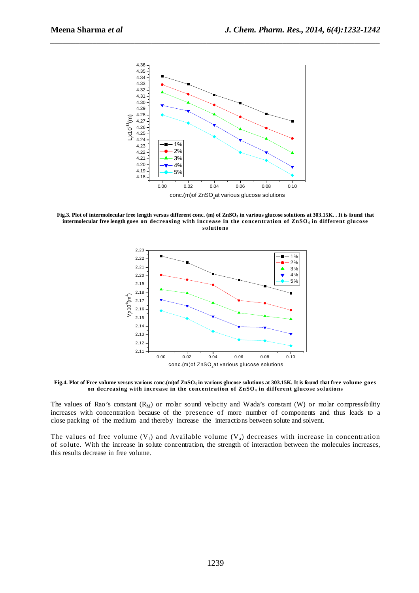

**Fig.3. Plot of intermolecular free length versus different conc. (m) of ZnSO4 in various glucose solutions at 303.15K. . It is found that intermolecular free length goes on decreasing with increase in the concentration of ZnSO4 in different glucose solutions** 



**Fig.4. Plot of Free volume versus various conc.(m)of ZnSO4 in various glucose solutions at 303.15K. It is found that free volume goes on decreasing with increase in the concentration of ZnSO4 in different glucose solutions** 

The values of Rao's constant  $(R_M)$  or molar sound velocity and Wada's constant (W) or molar compressibility increases with concentration because of the presence of more number of components and thus leads to a close packing of the medium and thereby increase the interactions between solute and solvent.

The values of free volume  $(V_f)$  and Available volume  $(V_a)$  decreases with increase in concentration of solute. With the increase in solute concentration, the strength of interaction between the molecules increases, this results decrease in free volume.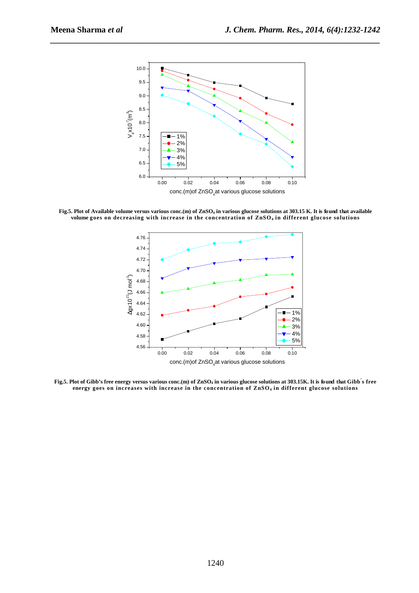

**Fig.5. Plot of Available volume versus various conc.(m) of ZnSO4 in various glucose solutions at 303.15 K. It is found that available volume goes on decreasing with increase in the concentration of ZnSO4 in different glucose solutions** 



**Fig.5. Plot of Gibb's free energy versus various conc.(m) of ZnSO4 in various glucose solutions at 303.15K. It is found that Gibb' s free energy goes on increases with increase in the concentration of ZnSO4 in different glucose solutions**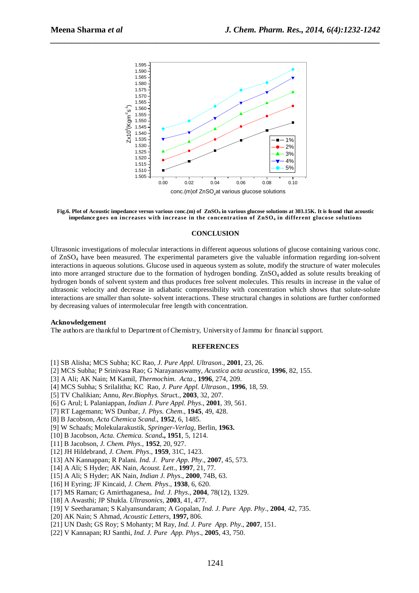



#### **CONCLUSION**

Ultrasonic investigations of molecular interactions in different aqueous solutions of glucose containing various conc. of ZnSO4 have been measured. The experimental parameters give the valuable information regarding ion-solvent interactions in aqueous solutions. Glucose used in aqueous system as solute, modify the structure of water molecules into more arranged structure due to the formation of hydrogen bonding. ZnSO<sub>4</sub> added as solute results breaking of hydrogen bonds of solvent system and thus produces free solvent molecules. This results in increase in the value of ultrasonic velocity and decrease in adiabatic compressibility with concentration which shows that solute-solute interactions are smaller than solute- solvent interactions. These structural changes in solutions are further conformed by decreasing values of intermolecular free length with concentration.

# **Acknowledgement**

The authors are thankful to Department of Chemistry, University of Jammu for financial support.

# **REFERENCES**

- [1] SB Alisha; MCS Subha; KC Rao, *J. Pure Appl. Ultrason*., **2001**, 23, 26.
- [2] MCS Subha; P Srinivasa Rao; G Narayanaswamy, *Acustica acta acustica*, **1996**, 82, 155.
- [3] A Ali; AK Nain; M Kamil*, Thermochim. Acta*., **1996**, 274, 209.
- [4] MCS Subha; S Srilalitha; KC Rao, *J. Pure Appl. Ultrason*., **1996**, 18, 59.
- [5] TV Chalikian; Annu, *Rev.Biophys. Struc*t., **2003**, 32, 207.
- [6] G Arul; L Palaniappan, *Indian J. Pure Appl. Phys*., **2001**, 39, 561.
- [7] RT Lagemann; WS Dunbar*, J. Phys. Chem*., **1945**, 49, 428.
- [8] B Jacobson, *Acta Chemica Scand*., **1952**, 6, 1485.
- [9] W Schaafs; Molekularakustik, *Springer-Verlag*, Berlin, **1963.**
- [10] B Jacobson, *Acta. Chemica. Scand***., 1951**, 5, 1214.
- [11] B Jacobson, *J. Chem. Phys*., **1952**, 20, 927.
- [12] JH Hildebrand*, J. Chem. Phys*., **1959**, 31C, 1423.
- [13] AN Kannappan; R Palani*. Ind. J. Pure App. Phy*., **2007**, 45, 573.
- [14] A Ali; S Hyder; AK Nain*, Acoust. Lett*., **1997**, 21, 77.
- [15] A Ali; S Hyder; AK Nain, *Indian J. Phys*., **2000**, 74B, 63.
- [16] H Eyring; JF Kincaid, *J. Chem. Phys*., **1938**, 6, 620.
- [17] MS Raman; G Amirthaganesa,*. Ind. J. Phys*., **2004**, 78(12), 1329.
- [18] A Awasthi; JP Shukla. *Ultrasonics,* **2003**, 41, 477.
- [19] V Seetharaman; S Kalyansundaram; A Gopalan, *Ind. J. Pure App. Phy*., **2004**, 42, 735.
- [20] AK Nain; S Ahmad, *Acoustic Letters*, **1997,** 806.
- [21] UN Dash; GS Roy; S Mohanty; M Ray, *Ind. J. Pure App. Phy*., **2007**, 151.
- [22] V Kannapan; RJ Santhi, *Ind. J. Pure App. Phys*., **2005**, 43, 750.